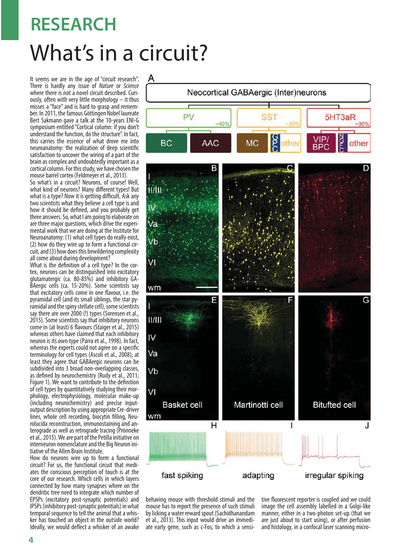## What's in a circuit? **RESEARCH**

It seems we are in the age of "circuit research". There is hardly any issue of Nature or Science where there is not a novel circuit described. Curiously, often with very little morphology – it thus misses a "face" and is hard to grasp and remember. In 2011, the famous Göttingen Nobel laureate Bert Sakmann gave a talk at the 10-years ENI-G symposium entitled "Cortical column: if you don't understand the function, do the structure". In fact, this carries the essence of what drove me into neuroanatomy: the realization of deep scientific satisfaction to uncover the wiring of a part of the brain as complex and undoubtedly important as a cortical column. For this study, we have chosen the mouse barrel cortex (Feldmeyer et al., 2013).

So what's in a circuit? Neurons, of course! Well, what kind of neurons? Many different types! But what is a type? Now it is getting difficult. Ask any two scientists what they believe a cell type is and how it should be defined, and you probably get three answers. So, what I am going to elaborate on are three major questions, which drive the experimental work that we are doing at the Institute for Neuroanatomy: (1) what cell types do really exist, (2) how do they wire up to form a functional circuit, and (3) how does this bewildering complexity all come about during development?

What is the definition of a cell type? In the cortex, neurons can be distinguished into excitatory glutamatergic (ca. 80-85%) and inhibitory GA-BAergic cells (ca. 15-20%). Some scientists say that excitatory cells come in one flavour, i.e. the pyramidal cell (and its small siblings, the star pyramidal and the spiny stellate cell), some scientists say there are over 2000 (!) types (Sorensen et al., 2015). Some scientists say that inhibitory neurons come in (at least) 6 flavours (Staiger et al., 2015) whereas others have claimed that each inhibitory neuron is its own type (Parra et al., 1998). In fact, whereas the experts could not agree on a specific terminology for cell types (Ascoli et al., 2008), at least they agree that GABAergic neurons can be subdivided into 3 broad non-overlapping classes, as defined by neurochemistry (Rudy et al., 2011; Figure 1). We want to contribute to the definition of cell types by quantitatively studying their morphology, electrophysiology, molecular make-up (including neurochemistry) and precise inputoutput description by using appropriate Cre-driver lines, whole cell recording, biocytin filling, Neurolucida reconstruction, immunostaining and anterograde as well as retrograde tracing (Prönneke et al., 2015). We are part of the Petilla initiative on interneuron nomenclature and the Big Neuron initiative of the Allen Brain Institute.

How do neurons wire up to form a functional circuit? For us, the functional circuit that mediates the conscious perception of touch is at the core of our research. Which cells in which layers connected by how many synapses where on the dendritic tree need to integrate which number of EPSPs (excitatory post-synaptic potentials) and IPSPs (inhibitory post-synaptic potentials) in what temporal sequence to tell the animal that a whisker has touched an object in the outside world? Ideally, we would deflect a whisker of an awake



behaving mouse with threshold stimuli and the mouse has to report the presence of such stimuli by licking a water reward spout (Sachidhanandam et al., 2013). This input would drive an immediate early gene, such as c-Fos, to which a sensitive fluorescent reporter is coupled and we could image the cell assembly labelled in a Golgi-like manner, either in a two-photon set-up (that we are just about to start using), or after perfusion and histology, in a confocal laser scanning micro-